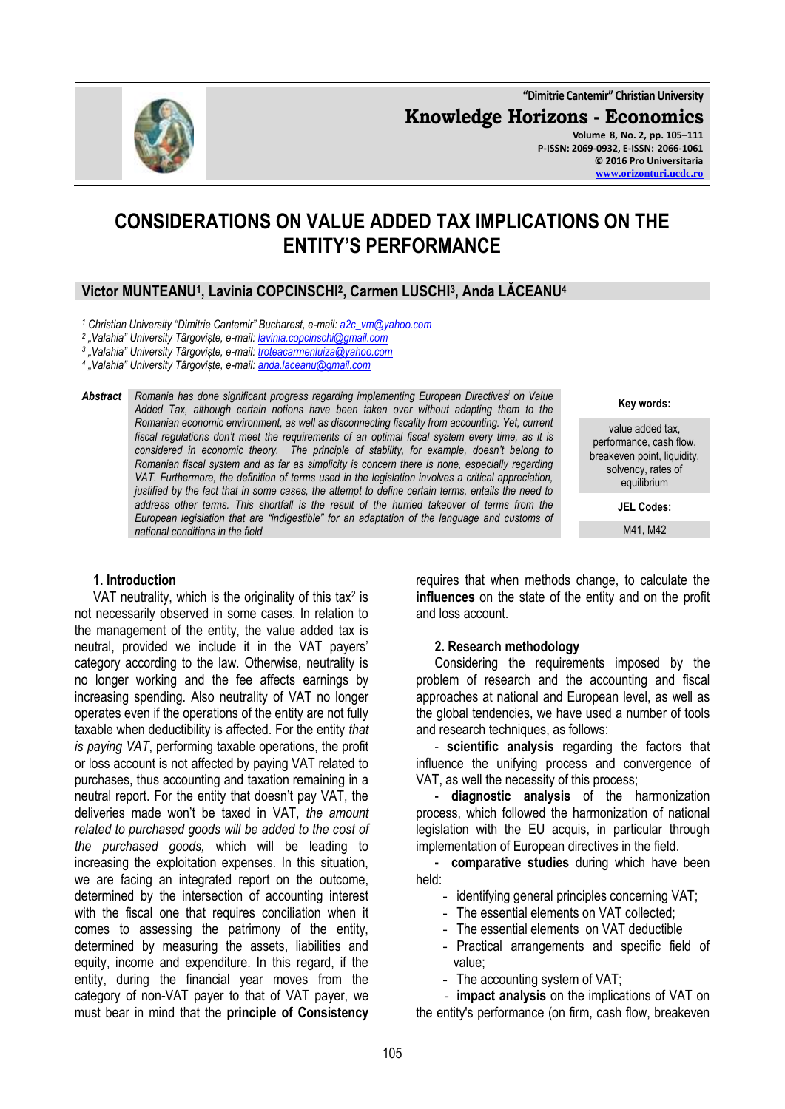**"Dimitrie Cantemir" Christian University Knowledge Horizons - Economics Volume 8, No. 2, pp. 105–111 P-ISSN: 2069-0932, E-ISSN: 2066-1061 © 2016 Pro Universitaria**

## **CONSIDERATIONS ON VALUE ADDED TAX IMPLICATIONS ON THE ENTITY'S PERFORMANCE**

### **Victor MUNTEANU<sup>1</sup> , Lavinia COPCINSCHI<sup>2</sup> , Carmen LUSCHI<sup>3</sup> , Anda LĂCEANU<sup>4</sup>**

*<sup>1</sup> Christian University "Dimitrie Cantemir" Bucharest, e-mail: [a2c\\_vm@yahoo.com](mailto:a2c_vm@yahoo.com)*

*2 "Valahia" University Târgoviște, e-mail[: lavinia.copcinschi@gmail.com](mailto:lavinia.copcinschi@gmail.com)*

*3 "Valahia" University Târgoviște, e-mail[: troteacarmenluiza@yahoo.com](mailto:troteacarmenluiza@yahoo.com)*

*4 "Valahia" University Târgoviște, e-mail[: anda.laceanu@gmail.com](mailto:anda.laceanu@gmail.com)*

*Abstract Romania has done significant progress regarding implementing European Directives<sup>i</sup> on Value Added Tax, although certain notions have been taken over without adapting them to the Romanian economic environment, as well as disconnecting fiscality from accounting. Yet, current fiscal regulations don't meet the requirements of an optimal fiscal system every time, as it is considered in economic theory. The principle of stability, for example, doesn't belong to Romanian fiscal system and as far as simplicity is concern there is none, especially regarding VAT. Furthermore, the definition of terms used in the legislation involves a critical appreciation, justified by the fact that in some cases, the attempt to define certain terms, entails the need to address other terms. This shortfall is the result of the hurried takeover of terms from the European legislation that are "indigestible" for an adaptation of the language and customs of national conditions in the field*

#### **1. Introduction**

VAT neutrality, which is the originality of this tax<sup>2</sup> is not necessarily observed in some cases. In relation to the management of the entity, the value added tax is neutral, provided we include it in the VAT payers' category according to the law. Otherwise, neutrality is no longer working and the fee affects earnings by increasing spending. Also neutrality of VAT no longer operates even if the operations of the entity are not fully taxable when deductibility is affected. For the entity *that is paying VAT*, performing taxable operations, the profit or loss account is not affected by paying VAT related to purchases, thus accounting and taxation remaining in a neutral report. For the entity that doesn't pay VAT, the deliveries made won't be taxed in VAT, *the amount related to purchased goods will be added to the cost of the purchased goods,* which will be leading to increasing the exploitation expenses. In this situation, we are facing an integrated report on the outcome, determined by the intersection of accounting interest with the fiscal one that requires conciliation when it comes to assessing the patrimony of the entity, determined by measuring the assets, liabilities and equity, income and expenditure. In this regard, if the entity, during the financial year moves from the category of non-VAT payer to that of VAT payer, we must bear in mind that the **principle of Consistency**

**Key words:**

value added tax, performance, cash flow, breakeven point, liquidity, solvency, rates of equilibrium

**JEL Codes:**

M41, M42

requires that when methods change, to calculate the **influences** on the state of the entity and on the profit and loss account.

#### **2. Research methodology**

Considering the requirements imposed by the problem of research and the accounting and fiscal approaches at national and European level, as well as the global tendencies, we have used a number of tools and research techniques, as follows:

- **scientific analysis** regarding the factors that influence the unifying process and convergence of VAT, as well the necessity of this process;

- **diagnostic analysis** of the harmonization process, which followed the harmonization of national legislation with the EU acquis, in particular through implementation of European directives in the field.

**- comparative studies** during which have been held:

- identifying general principles concerning VAT;
- The essential elements on VAT collected;
- The essential elements on VAT deductible
- Practical arrangements and specific field of value;
- The accounting system of VAT;

- **impact analysis** on the implications of VAT on the entity's performance (on firm, cash flow, breakeven

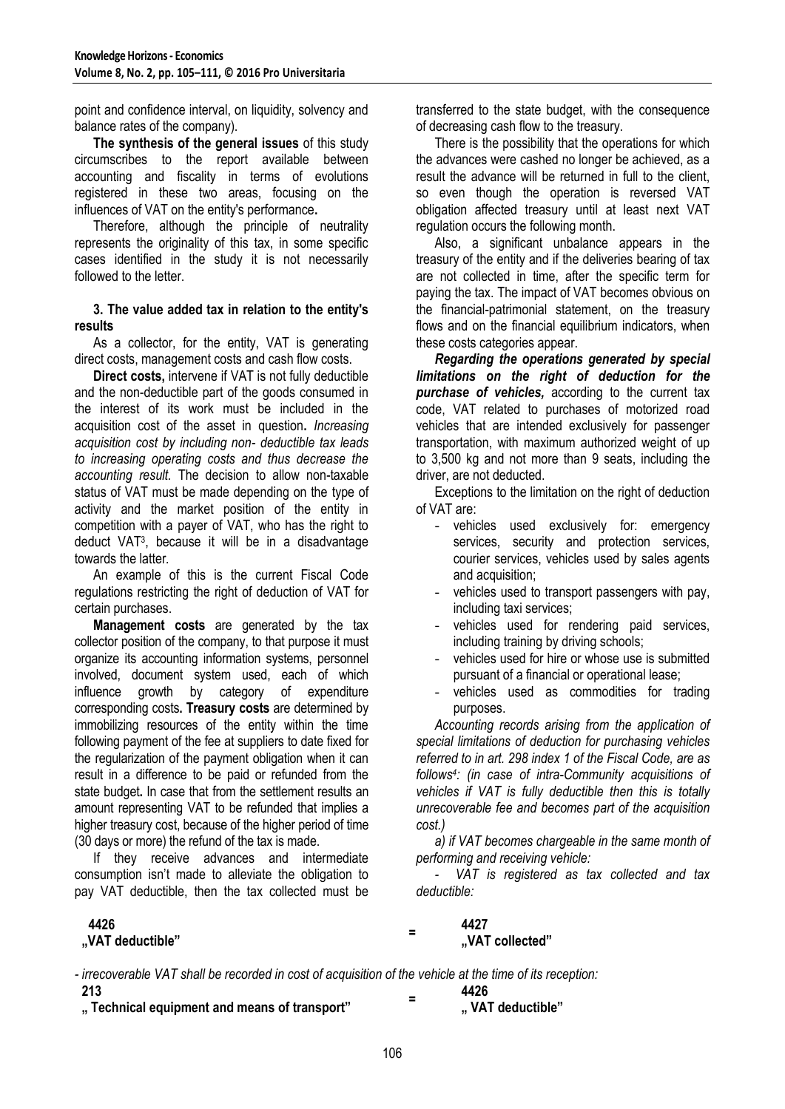point and confidence interval, on liquidity, solvency and balance rates of the company).

**The synthesis of the general issues** of this study circumscribes to the report available between accounting and fiscality in terms of evolutions registered in these two areas, focusing on the influences of VAT on the entity's performance**.** 

Therefore, although the principle of neutrality represents the originality of this tax, in some specific cases identified in the study it is not necessarily followed to the letter.

#### **3. The value added tax in relation to the entity's results**

As a collector, for the entity, VAT is generating direct costs, management costs and cash flow costs.

**Direct costs,** intervene if VAT is not fully deductible and the non-deductible part of the goods consumed in the interest of its work must be included in the acquisition cost of the asset in question**.** *Increasing acquisition cost by including non- deductible tax leads to increasing operating costs and thus decrease the accounting result.* The decision to allow non-taxable status of VAT must be made depending on the type of activity and the market position of the entity in competition with a payer of VAT, who has the right to deduct VAT<sup>3</sup> , because it will be in a disadvantage towards the latter*.* 

An example of this is the current Fiscal Code regulations restricting the right of deduction of VAT for certain purchases.

**Management costs** are generated by the tax collector position of the company, to that purpose it must organize its accounting information systems, personnel involved, document system used, each of which influence growth by category of expenditure corresponding costs**. Treasury costs** are determined by immobilizing resources of the entity within the time following payment of the fee at suppliers to date fixed for the regularization of the payment obligation when it can result in a difference to be paid or refunded from the state budget**.** In case that from the settlement results an amount representing VAT to be refunded that implies a higher treasury cost, because of the higher period of time (30 days or more) the refund of the tax is made.

If they receive advances and intermediate consumption isn't made to alleviate the obligation to pay VAT deductible, then the tax collected must be

# **4426**

transferred to the state budget, with the consequence of decreasing cash flow to the treasury.

There is the possibility that the operations for which the advances were cashed no longer be achieved, as a result the advance will be returned in full to the client, so even though the operation is reversed VAT obligation affected treasury until at least next VAT regulation occurs the following month.

Also, a significant unbalance appears in the treasury of the entity and if the deliveries bearing of tax are not collected in time, after the specific term for paying the tax. The impact of VAT becomes obvious on the financial-patrimonial statement, on the treasury flows and on the financial equilibrium indicators, when these costs categories appear.

*Regarding the operations generated by special limitations on the right of deduction for the purchase of vehicles,* according to the current tax code, VAT related to purchases of motorized road vehicles that are intended exclusively for passenger transportation, with maximum authorized weight of up to 3,500 kg and not more than 9 seats, including the driver, are not deducted.

Exceptions to the limitation on the right of deduction of VAT are:

- vehicles used exclusively for: emergency services, security and protection services, courier services, vehicles used by sales agents and acquisition;
- vehicles used to transport passengers with pay, including taxi services;
- vehicles used for rendering paid services, including training by driving schools;
- vehicles used for hire or whose use is submitted pursuant of a financial or operational lease;
- vehicles used as commodities for trading purposes.

*Accounting records arising from the application of special limitations of deduction for purchasing vehicles referred to in art. 298 index 1 of the Fiscal Code, are as follows<sup>4</sup> : (in case of intra-Community acquisitions of vehicles if VAT is fully deductible then this is totally unrecoverable fee and becomes part of the acquisition cost.)*

*a) if VAT becomes chargeable in the same month of performing and receiving vehicle:*

*- VAT is registered as tax collected and tax deductible:*

**4427 "VAT deductible" "VAT collected"**

- *- irrecoverable VAT shall be recorded in cost of acquisition of the vehicle at the time of its reception:* **213 = 4426**
- **" Technical equipment and means of transport" " VAT deductible"**

**=**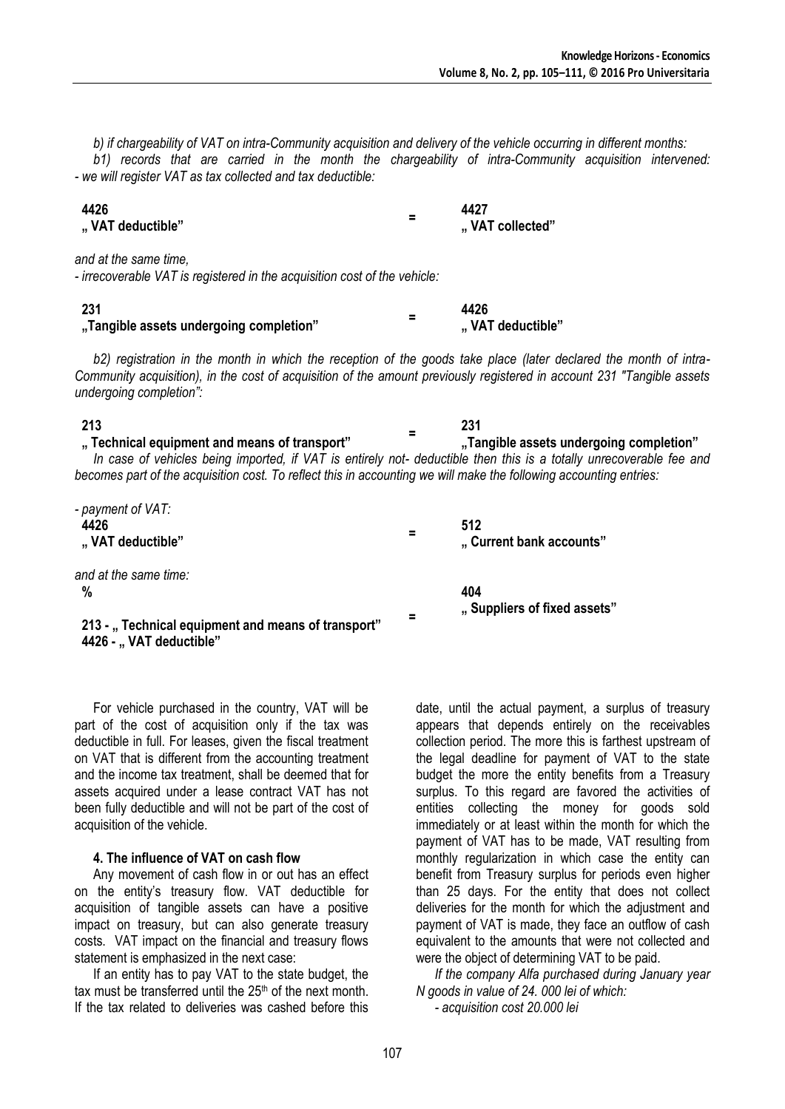*b) if chargeability of VAT on intra-Community acquisition and delivery of the vehicle occurring in different months: b1) records that are carried in the month the chargeability of intra-Community acquisition intervened: - we will register VAT as tax collected and tax deductible:*

| 4426             | - | 4427            |
|------------------|---|-----------------|
| "VAT deductible" | - | "VAT collected" |

*and at the same time,*

*- irrecoverable VAT is registered in the acquisition cost of the vehicle:*

| -231                                    | - | 4426             |
|-----------------------------------------|---|------------------|
| "Tangible assets undergoing completion" |   | "VAT deductible" |

*b2) registration in the month in which the reception of the goods take place (later declared the month of intra-Community acquisition), in the cost of acquisition of the amount previously registered in account 231 "Tangible assets undergoing completion":*

#### **213**

#### **" Technical equipment and means of transport" "Tangible assets undergoing completion"**

*In case of vehicles being imported, if VAT is entirely not- deductible then this is a totally unrecoverable fee and becomes part of the acquisition cost. To reflect this in accounting we will make the following accounting entries:*

**=**

**231**

| - payment of VAT:<br>4426<br>"VAT deductible"                                 | = | 512<br>"Current bank accounts" |
|-------------------------------------------------------------------------------|---|--------------------------------|
| and at the same time:                                                         |   |                                |
| %                                                                             |   | 404                            |
| 213 - "Technical equipment and means of transport"<br>4426 - "VAT deductible" |   | "Suppliers of fixed assets"    |

For vehicle purchased in the country, VAT will be part of the cost of acquisition only if the tax was deductible in full. For leases, given the fiscal treatment on VAT that is different from the accounting treatment and the income tax treatment, shall be deemed that for assets acquired under a lease contract VAT has not been fully deductible and will not be part of the cost of acquisition of the vehicle.

#### **4. The influence of VAT on cash flow**

Any movement of cash flow in or out has an effect on the entity's treasury flow. VAT deductible for acquisition of tangible assets can have a positive impact on treasury, but can also generate treasury costs. VAT impact on the financial and treasury flows statement is emphasized in the next case:

If an entity has to pay VAT to the state budget, the tax must be transferred until the  $25<sup>th</sup>$  of the next month. If the tax related to deliveries was cashed before this date, until the actual payment, a surplus of treasury appears that depends entirely on the receivables collection period. The more this is farthest upstream of the legal deadline for payment of VAT to the state budget the more the entity benefits from a Treasury surplus. To this regard are favored the activities of entities collecting the money for goods sold immediately or at least within the month for which the payment of VAT has to be made, VAT resulting from monthly regularization in which case the entity can benefit from Treasury surplus for periods even higher than 25 days. For the entity that does not collect deliveries for the month for which the adjustment and payment of VAT is made, they face an outflow of cash equivalent to the amounts that were not collected and were the object of determining VAT to be paid.

*If the company Alfa purchased during January year N goods in value of 24. 000 lei of which: - acquisition cost 20.000 lei*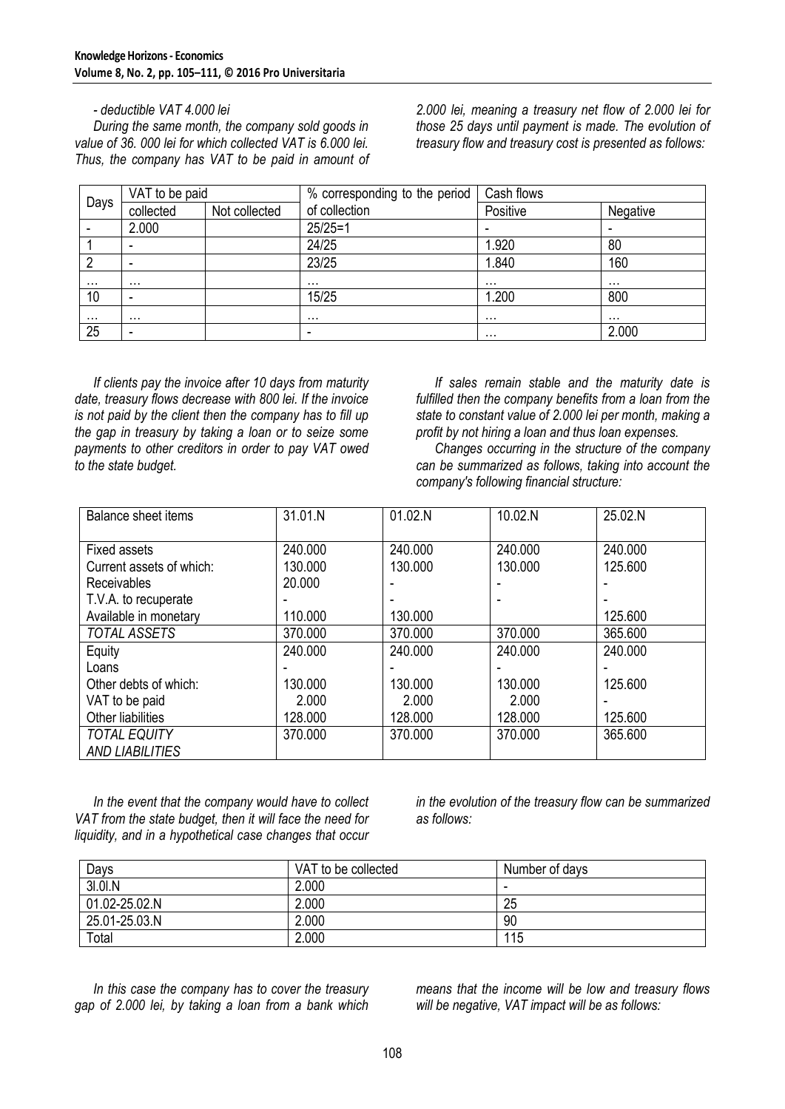*- deductible VAT 4.000 lei During the same month, the company sold goods in value of 36. 000 lei for which collected VAT is 6.000 lei. Thus, the company has VAT to be paid in amount of*  *2.000 lei, meaning a treasury net flow of 2.000 lei for those 25 days until payment is made. The evolution of treasury flow and treasury cost is presented as follows:*

| VAT to be paid |                          |               | % corresponding to the period | Cash flows |          |
|----------------|--------------------------|---------------|-------------------------------|------------|----------|
| Days           | collected                | Not collected | of collection                 | Positive   | Negative |
|                | 2.000                    |               | $25/25=1$                     |            |          |
|                |                          |               | 24/25                         | 1.920      | 80       |
|                | $\overline{\phantom{0}}$ |               | 23/25                         | 1.840      | 160      |
| $\cdots$       | $\cdots$                 |               | $\cdots$                      |            | .        |
| 10             | $\overline{\phantom{0}}$ |               | 15/25                         | 1.200      | 800      |
| .              | $\cdots$                 |               | $\cdots$                      | $\cdots$   | $\cdots$ |
| 25             | $\overline{\phantom{0}}$ |               | -                             | $\cdots$   | 2.000    |

*If clients pay the invoice after 10 days from maturity date, treasury flows decrease with 800 lei. If the invoice is not paid by the client then the company has to fill up the gap in treasury by taking a loan or to seize some payments to other creditors in order to pay VAT owed to the state budget.* 

*If sales remain stable and the maturity date is fulfilled then the company benefits from a loan from the state to constant value of 2.000 lei per month, making a profit by not hiring a loan and thus loan expenses.* 

*Changes occurring in the structure of the company can be summarized as follows, taking into account the company's following financial structure:*

| <b>Balance sheet items</b> | 31.01.N | 01.02.N | 10.02.N | 25.02.N |
|----------------------------|---------|---------|---------|---------|
| <b>Fixed assets</b>        | 240.000 | 240.000 | 240.000 | 240.000 |
| Current assets of which:   | 130.000 | 130,000 | 130,000 | 125.600 |
| <b>Receivables</b>         | 20.000  |         |         |         |
| T.V.A. to recuperate       |         |         |         |         |
| Available in monetary      | 110.000 | 130.000 |         | 125.600 |
| TOTAL ASSETS               | 370.000 | 370.000 | 370.000 | 365.600 |
| Equity                     | 240.000 | 240.000 | 240.000 | 240.000 |
| Loans                      |         |         |         |         |
| Other debts of which:      | 130.000 | 130.000 | 130,000 | 125.600 |
| VAT to be paid             | 2.000   | 2.000   | 2.000   |         |
| Other liabilities          | 128,000 | 128.000 | 128,000 | 125.600 |
| <b>TOTAL EQUITY</b>        | 370.000 | 370.000 | 370.000 | 365.600 |
| <b>AND LIABILITIES</b>     |         |         |         |         |

*In the event that the company would have to collect VAT from the state budget, then it will face the need for liquidity, and in a hypothetical case changes that occur* 

*in the evolution of the treasury flow can be summarized as follows:*

| Days          | VAT to be collected | Number of days |
|---------------|---------------------|----------------|
| 31.01.N       | 2.000               | -              |
| 01.02-25.02.N | 2.000               | 25             |
| 25.01-25.03.N | 2.000               | 90             |
| Total         | 2.000               | 115            |

*In this case the company has to cover the treasury gap of 2.000 lei, by taking a loan from a bank which* 

*means that the income will be low and treasury flows will be negative, VAT impact will be as follows:*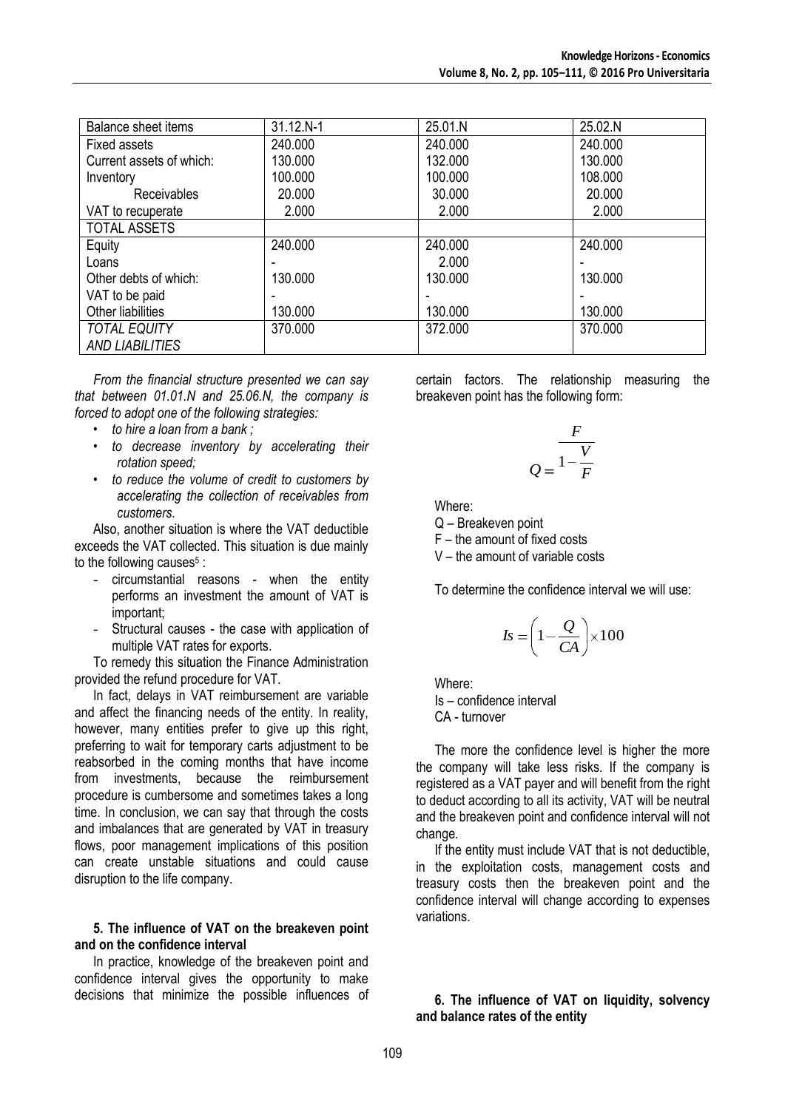| <b>Balance sheet items</b> | 31.12.N-1 | 25.01.N | 25.02.N |
|----------------------------|-----------|---------|---------|
| <b>Fixed assets</b>        | 240,000   | 240,000 | 240.000 |
| Current assets of which:   | 130,000   | 132.000 | 130,000 |
| Inventory                  | 100.000   | 100.000 | 108.000 |
| Receivables                | 20.000    | 30.000  | 20,000  |
| VAT to recuperate          | 2.000     | 2.000   | 2.000   |
| <b>TOTAL ASSETS</b>        |           |         |         |
| Equity                     | 240.000   | 240.000 | 240,000 |
| Loans                      |           | 2.000   |         |
| Other debts of which:      | 130,000   | 130,000 | 130,000 |
| VAT to be paid             |           |         |         |
| Other liabilities          | 130.000   | 130.000 | 130,000 |
| <b>TOTAL EQUITY</b>        | 370.000   | 372.000 | 370.000 |
| <b>AND LIABILITIES</b>     |           |         |         |

*From the financial structure presented we can say that between 01.01.N and 25.06.N, the company is forced to adopt one of the following strategies:*

- *to hire a loan from a bank ;*
- *to decrease inventory by accelerating their rotation speed;*
- *to reduce the volume of credit to customers by accelerating the collection of receivables from customers.*

Also, another situation is where the VAT deductible exceeds the VAT collected. This situation is due mainly to the following causes<sup>5</sup>:

- circumstantial reasons when the entity performs an investment the amount of VAT is important;
- Structural causes the case with application of multiple VAT rates for exports.

To remedy this situation the Finance Administration provided the refund procedure for VAT.

In fact, delays in VAT reimbursement are variable and affect the financing needs of the entity. In reality, however, many entities prefer to give up this right, preferring to wait for temporary carts adjustment to be reabsorbed in the coming months that have income from investments, because the reimbursement procedure is cumbersome and sometimes takes a long time. In conclusion, we can say that through the costs and imbalances that are generated by VAT in treasury flows, poor management implications of this position can create unstable situations and could cause disruption to the life company.

#### **5. The influence of VAT on the breakeven point and on the confidence interval**

In practice, knowledge of the breakeven point and confidence interval gives the opportunity to make decisions that minimize the possible influences of certain factors. The relationship measuring the breakeven point has the following form:

$$
Q = \frac{F}{1 - \frac{V}{F}}
$$

Where:

Q – Breakeven point

F – the amount of fixed costs

V – the amount of variable costs

To determine the confidence interval we will use:

$$
Is = \left(1 - \frac{Q}{CA}\right) \times 100
$$

Where:

Is – confidence interval CA - turnover

The more the confidence level is higher the more the company will take less risks. If the company is registered as a VAT payer and will benefit from the right to deduct according to all its activity, VAT will be neutral and the breakeven point and confidence interval will not change.

If the entity must include VAT that is not deductible, in the exploitation costs, management costs and treasury costs then the breakeven point and the confidence interval will change according to expenses variations.

#### **6. The influence of VAT on liquidity, solvency and balance rates of the entity**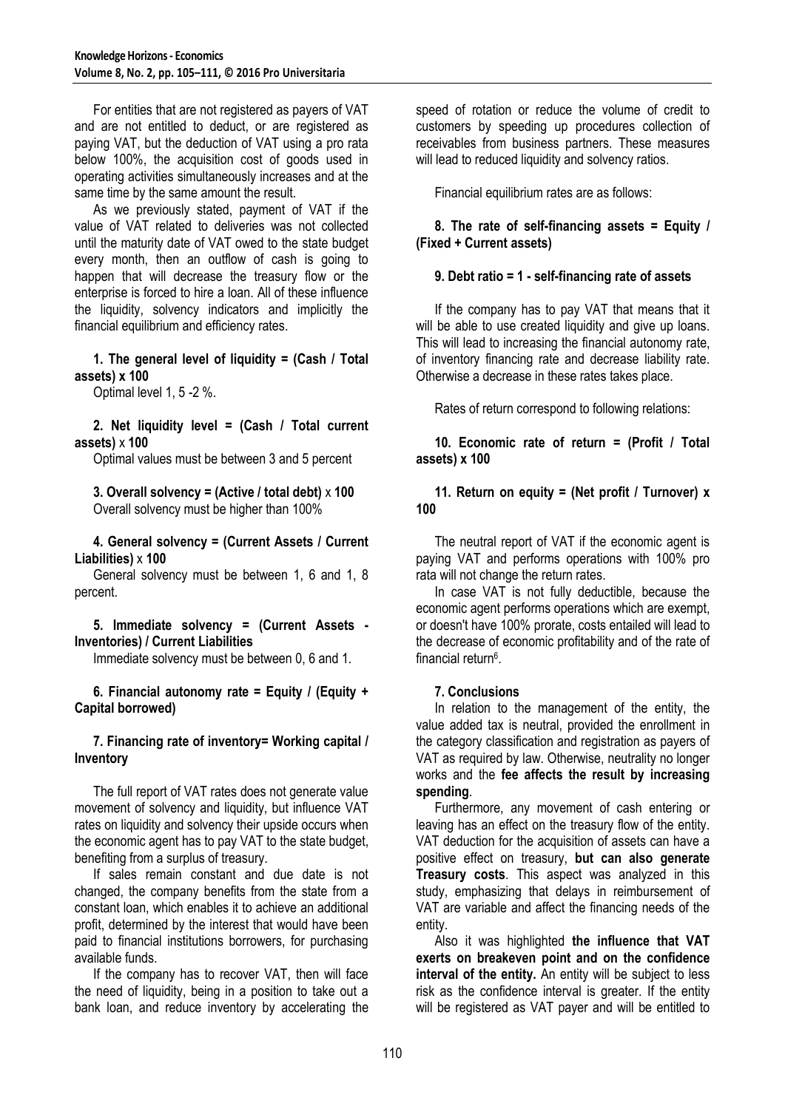For entities that are not registered as payers of VAT and are not entitled to deduct, or are registered as paying VAT, but the deduction of VAT using a pro rata below 100%, the acquisition cost of goods used in operating activities simultaneously increases and at the same time by the same amount the result.

As we previously stated, payment of VAT if the value of VAT related to deliveries was not collected until the maturity date of VAT owed to the state budget every month, then an outflow of cash is going to happen that will decrease the treasury flow or the enterprise is forced to hire a loan. All of these influence the liquidity, solvency indicators and implicitly the financial equilibrium and efficiency rates.

**1. The general level of liquidity = (Cash / Total assets) x 100**

Optimal level 1, 5 -2 %.

**2. Net liquidity level = (Cash / Total current assets)** x **100**

Optimal values must be between 3 and 5 percent

**3. Overall solvency = (Active / total debt)** x **100** Overall solvency must be higher than 100%

**4. General solvency = (Current Assets / Current Liabilities)** x **100**

General solvency must be between 1, 6 and 1, 8 percent.

#### **5. Immediate solvency = (Current Assets - Inventories) / Current Liabilities**

Immediate solvency must be between 0, 6 and 1.

**6. Financial autonomy rate = Equity / (Equity + Capital borrowed)**

#### **7. Financing rate of inventory= Working capital / Inventory**

The full report of VAT rates does not generate value movement of solvency and liquidity, but influence VAT rates on liquidity and solvency their upside occurs when the economic agent has to pay VAT to the state budget, benefiting from a surplus of treasury.

If sales remain constant and due date is not changed, the company benefits from the state from a constant loan, which enables it to achieve an additional profit, determined by the interest that would have been paid to financial institutions borrowers, for purchasing available funds.

If the company has to recover VAT, then will face the need of liquidity, being in a position to take out a bank loan, and reduce inventory by accelerating the speed of rotation or reduce the volume of credit to customers by speeding up procedures collection of receivables from business partners. These measures will lead to reduced liquidity and solvency ratios.

Financial equilibrium rates are as follows:

#### **8. The rate of self-financing assets = Equity / (Fixed + Current assets)**

#### **9. Debt ratio = 1 - self-financing rate of assets**

If the company has to pay VAT that means that it will be able to use created liquidity and give up loans. This will lead to increasing the financial autonomy rate, of inventory financing rate and decrease liability rate. Otherwise a decrease in these rates takes place.

Rates of return correspond to following relations:

**10. Economic rate of return = (Profit / Total assets) x 100**

#### **11. Return on equity = (Net profit / Turnover) x 100**

The neutral report of VAT if the economic agent is paying VAT and performs operations with 100% pro rata will not change the return rates.

In case VAT is not fully deductible, because the economic agent performs operations which are exempt, or doesn't have 100% prorate, costs entailed will lead to the decrease of economic profitability and of the rate of financial return<sup>6</sup>.

#### **7. Conclusions**

In relation to the management of the entity, the value added tax is neutral, provided the enrollment in the category classification and registration as payers of VAT as required by law. Otherwise, neutrality no longer works and the **fee affects the result by increasing spending**.

Furthermore, any movement of cash entering or leaving has an effect on the treasury flow of the entity. VAT deduction for the acquisition of assets can have a positive effect on treasury, **but can also generate Treasury costs**. This aspect was analyzed in this study, emphasizing that delays in reimbursement of VAT are variable and affect the financing needs of the entity.

Also it was highlighted **the influence that VAT exerts on breakeven point and on the confidence interval of the entity.** An entity will be subject to less risk as the confidence interval is greater. If the entity will be registered as VAT payer and will be entitled to